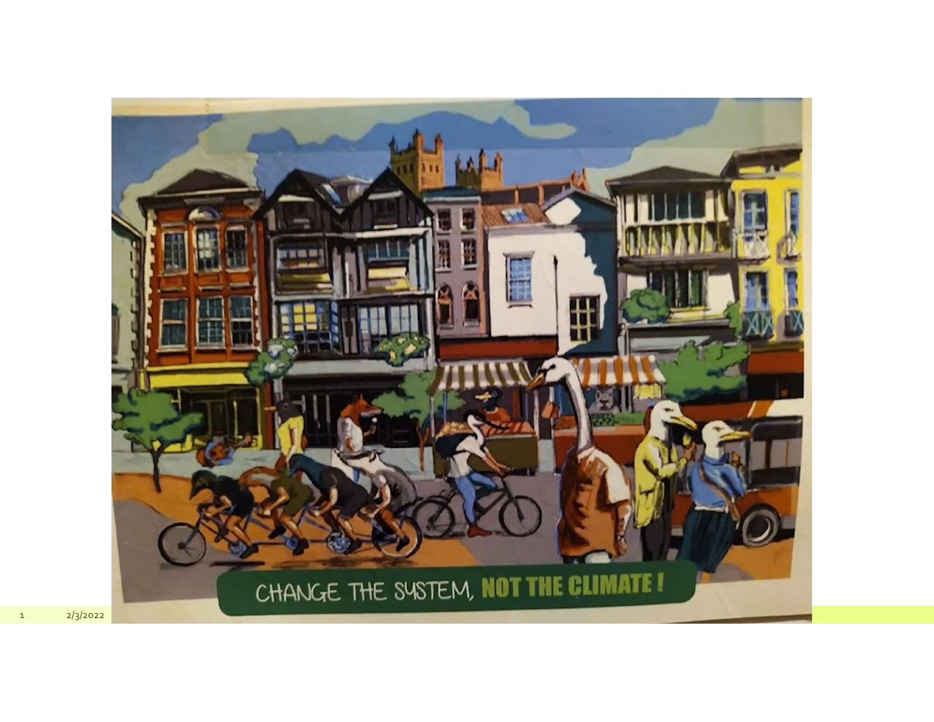

 $\mathbf 1$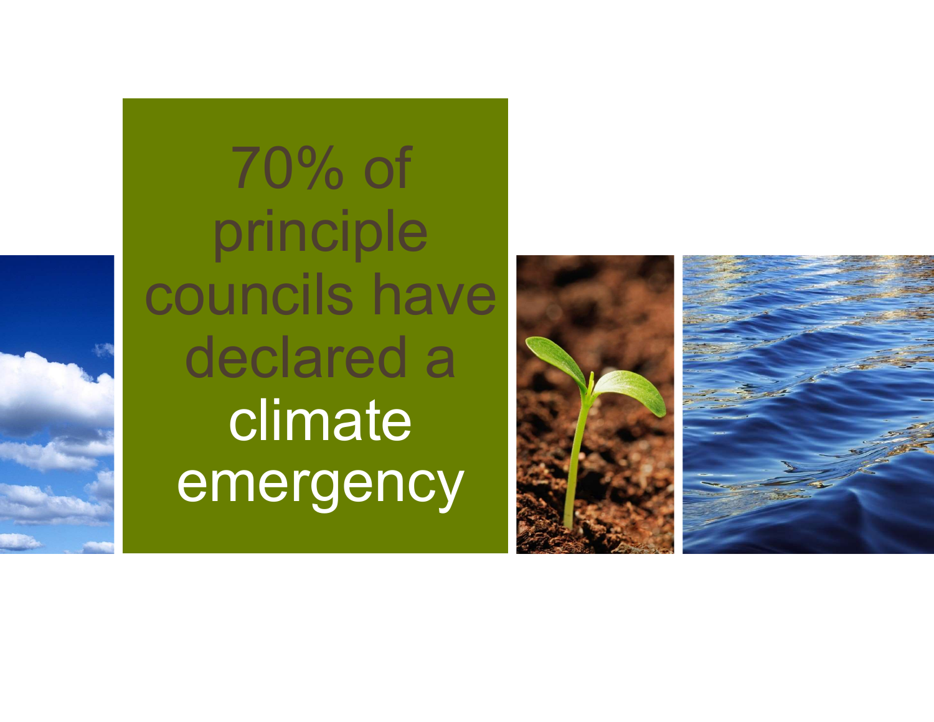70% of principle councils have declared a climate emergency

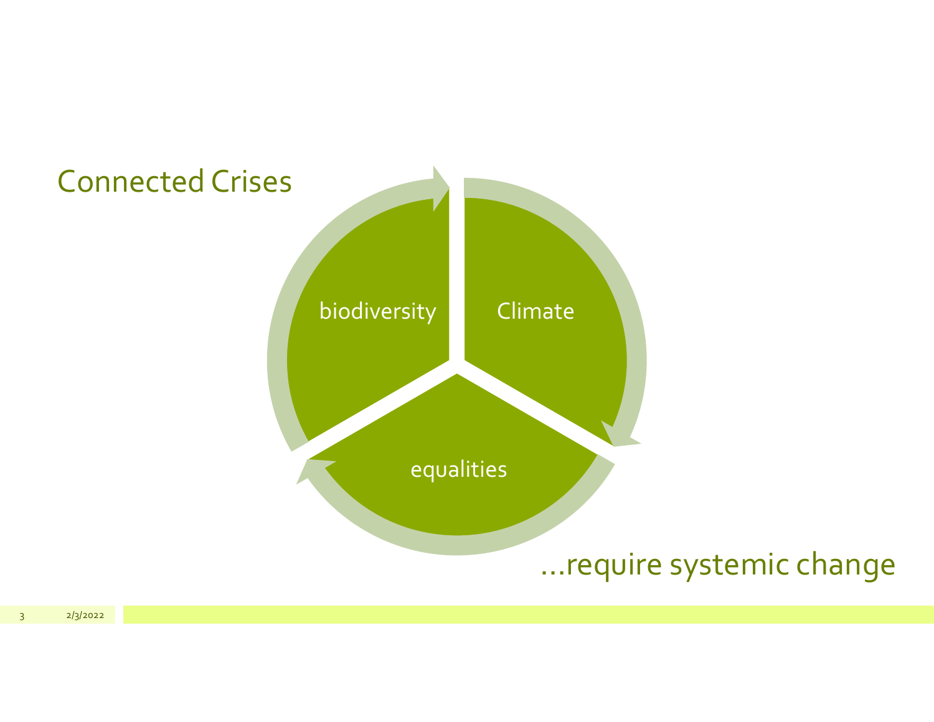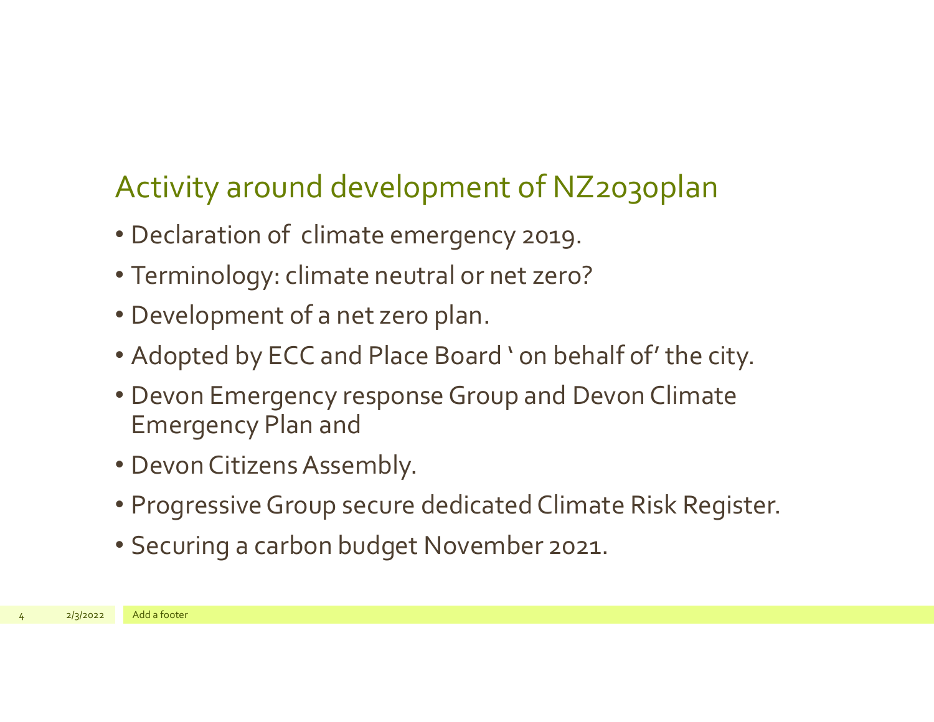## Activity around development of NZ2030plan

- Declaration of climate emergency 2019.
- Terminology: climate neutral or net zero?
- Development of a net zero plan.
- Adopted by ECC and Place Board ' on behalf of' the city.
- Development of a flet Zero plant<br>• Adopted by ECC and Place Board<br>• Devon Emergency response Group<br>Emergency Plan and<br>• Devon Citizens Assembly.<br>• Progressive Group secure dedicate<br>• Securing a carbon budget Novemb • Devon Emergency response Group and Devon Climate Emergency Plan and
	- Devon Citizens Assembly.
	- Progressive Group secure dedicated Climate Risk Register.
	- Securing a carbon budget November 2021.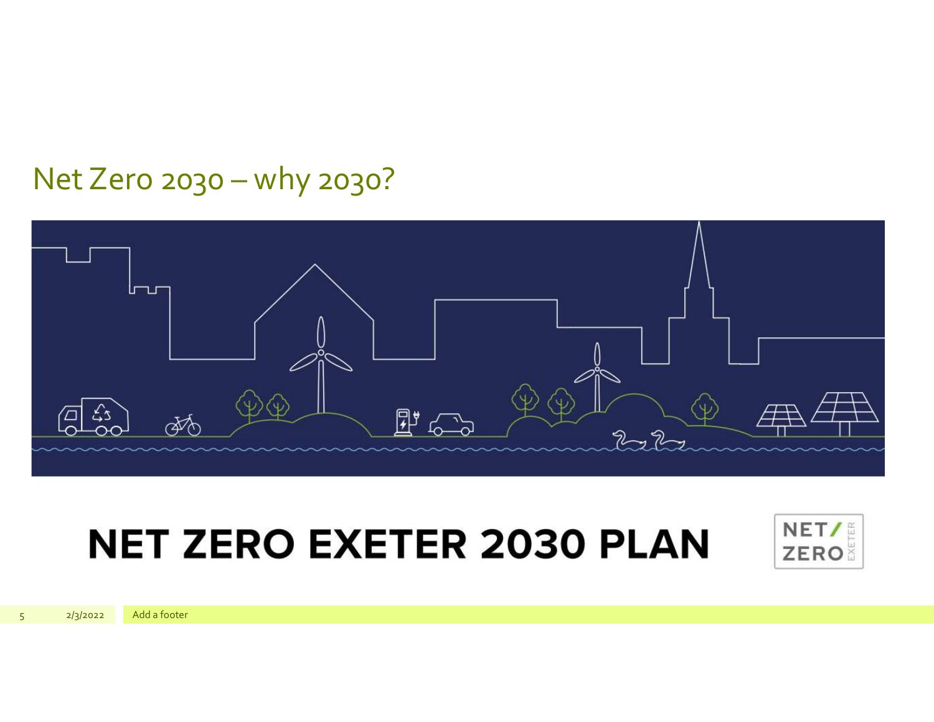#### Net Zero 2030 - why 2030?



# **NET ZERO EXETER 2030 PLAN**



 $2/3/2022$ 

Add a footer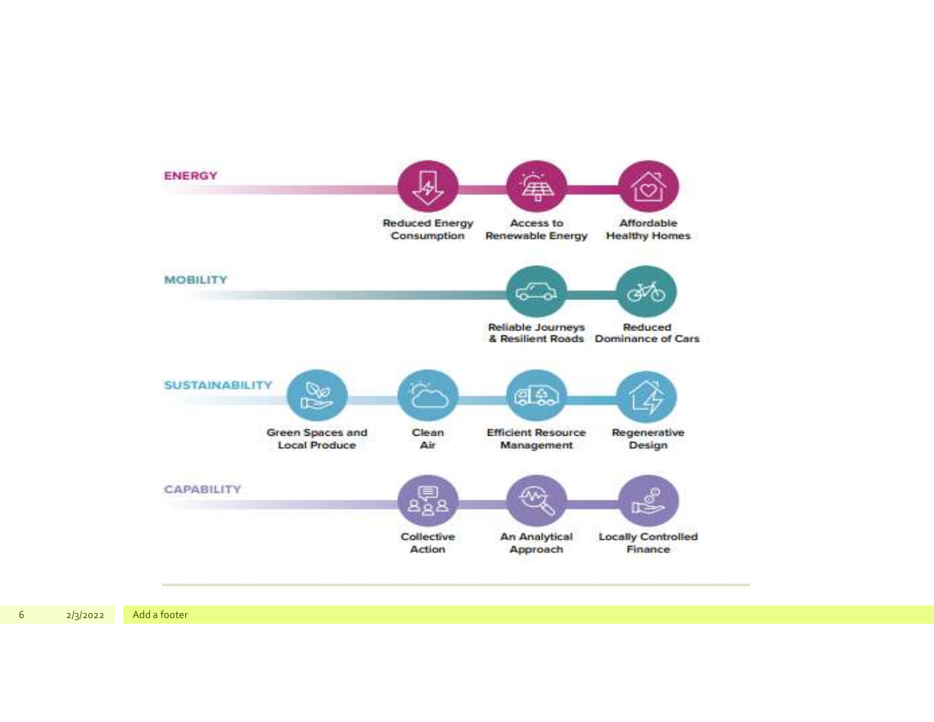

| 6 |  | 2/3 |  |
|---|--|-----|--|
|   |  |     |  |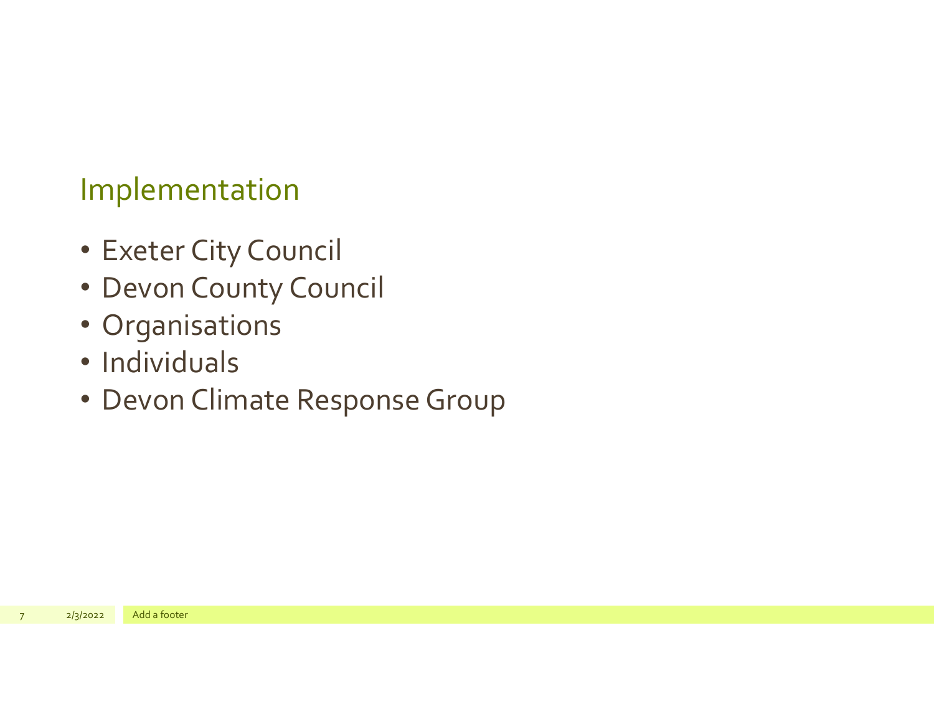### Implementation

- Exeter City Council
- Devon County Council
- Organisations
- Individuals
- Organisations<br>• Individuals<br>• Devon Climate Response Group • Devon Climate Response Group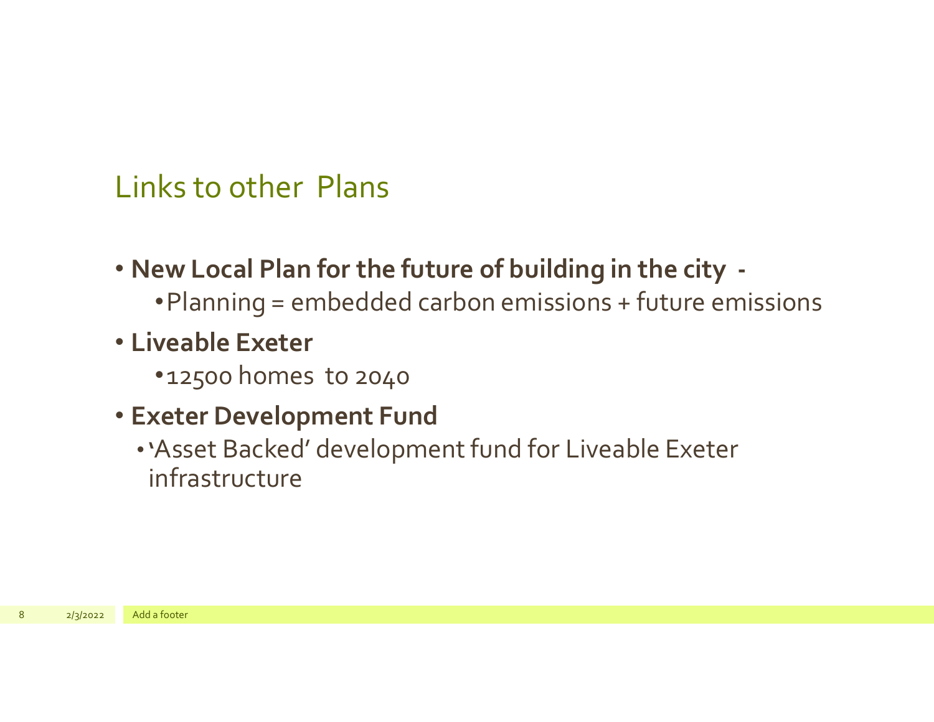### Links to other Plans

- New Local Plan for the future of building in the city •Planning = embedded carbon emissions + future emissions
- Liveable Exeter
	- •12500 homes to 2040
- Exeter Development Fund
- •'Asset Backed' development fund for Liveable Exeter infrastructure • Liveable Exeter<br>• 12500 homes to 2040<br>• Exeter Development Fund<br>• 'Asset Backed' development fund<br>infrastructure